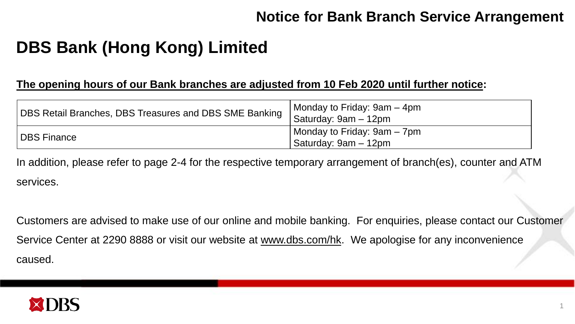## **DBS Bank (Hong Kong) Limited**

#### **The opening hours of our Bank branches are adjusted from 10 Feb 2020 until further notice:**

| DBS Retail Branches, DBS Treasures and DBS SME Banking Saturday: 9am - 12pm | Monday to Friday: 9am – 4pm                           |
|-----------------------------------------------------------------------------|-------------------------------------------------------|
| DBS Finance                                                                 | Monday to Friday: 9am – 7pm<br>  Saturday: 9am – 12pm |

In addition, please refer to page 2-4 for the respective temporary arrangement of branch(es), counter and ATM services.

Customers are advised to make use of our online and mobile banking. For enquiries, please contact our Customer Service Center at 2290 8888 or visit our website at [www.dbs.com/hk.](http://www.dbs.com/hk) We apologise for any inconvenience caused.

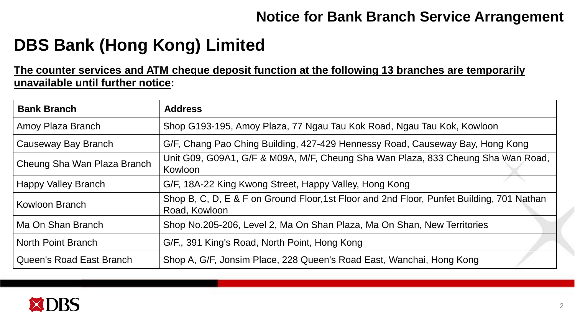# **DBS Bank (Hong Kong) Limited**

#### **The counter services and ATM cheque deposit function at the following 13 branches are temporarily unavailable until further notice:**

| <b>Bank Branch</b>          | <b>Address</b>                                                                                             |
|-----------------------------|------------------------------------------------------------------------------------------------------------|
| Amoy Plaza Branch           | Shop G193-195, Amoy Plaza, 77 Ngau Tau Kok Road, Ngau Tau Kok, Kowloon                                     |
| Causeway Bay Branch         | G/F, Chang Pao Ching Building, 427-429 Hennessy Road, Causeway Bay, Hong Kong                              |
| Cheung Sha Wan Plaza Branch | Unit G09, G09A1, G/F & M09A, M/F, Cheung Sha Wan Plaza, 833 Cheung Sha Wan Road,<br>Kowloon                |
| <b>Happy Valley Branch</b>  | G/F, 18A-22 King Kwong Street, Happy Valley, Hong Kong                                                     |
| Kowloon Branch              | Shop B, C, D, E & F on Ground Floor, 1st Floor and 2nd Floor, Punfet Building, 701 Nathan<br>Road, Kowloon |
| Ma On Shan Branch           | Shop No.205-206, Level 2, Ma On Shan Plaza, Ma On Shan, New Territories                                    |
| North Point Branch          | G/F., 391 King's Road, North Point, Hong Kong                                                              |
| Queen's Road East Branch    | Shop A, G/F, Jonsim Place, 228 Queen's Road East, Wanchai, Hong Kong                                       |

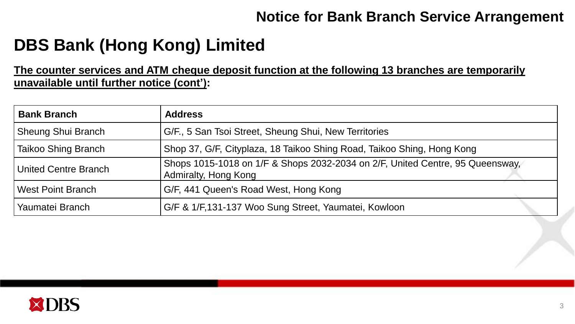## **DBS Bank (Hong Kong) Limited**

**The counter services and ATM cheque deposit function at the following 13 branches are temporarily unavailable until further notice (cont'):** 

| <b>Bank Branch</b>         | <b>Address</b>                                                                                        |
|----------------------------|-------------------------------------------------------------------------------------------------------|
| <b>Sheung Shui Branch</b>  | G/F., 5 San Tsoi Street, Sheung Shui, New Territories                                                 |
| <b>Taikoo Shing Branch</b> | Shop 37, G/F, Cityplaza, 18 Taikoo Shing Road, Taikoo Shing, Hong Kong                                |
| United Centre Branch       | Shops 1015-1018 on 1/F & Shops 2032-2034 on 2/F, United Centre, 95 Queensway,<br>Admiralty, Hong Kong |
| <b>West Point Branch</b>   | G/F, 441 Queen's Road West, Hong Kong                                                                 |
| Yaumatei Branch            | G/F & 1/F,131-137 Woo Sung Street, Yaumatei, Kowloon                                                  |

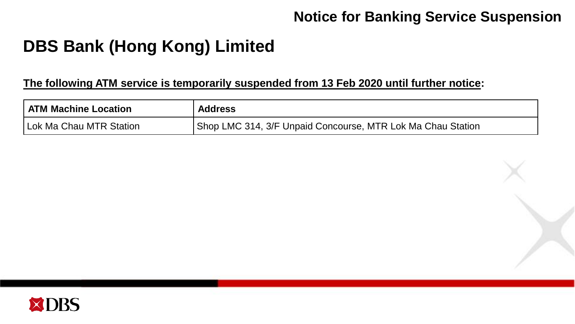### **Notice for Banking Service Suspension**

# **DBS Bank (Hong Kong) Limited**

#### **The following ATM service is temporarily suspended from 13 Feb 2020 until further notice:**

| <b>ATM Machine Location</b> | <b>Address</b>                                              |
|-----------------------------|-------------------------------------------------------------|
| Lok Ma Chau MTR Station     | Shop LMC 314, 3/F Unpaid Concourse, MTR Lok Ma Chau Station |